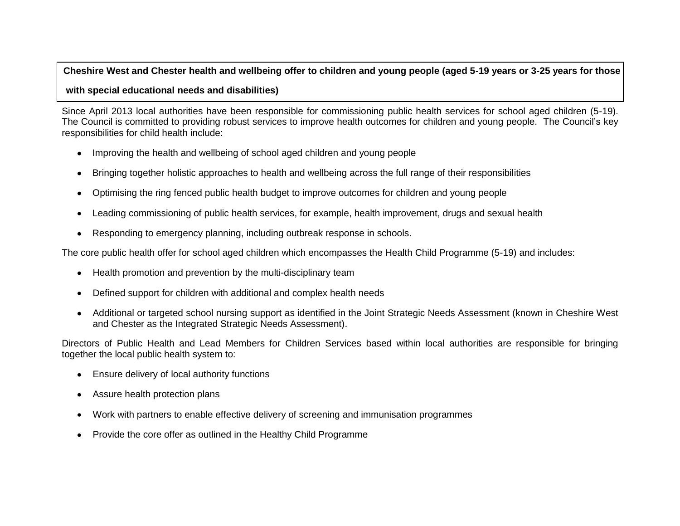#### **Cheshire West and Chester health and wellbeing offer to children and young people (aged 5-19 years or 3-25 years for those**

#### **with special educational needs and disabilities)**

Since April 2013 local authorities have been responsible for commissioning public health services for school aged children (5-19). The Council is committed to providing robust services to improve health outcomes for children and young people. The Council's key responsibilities for child health include:

- Improving the health and wellbeing of school aged children and young people  $\bullet$
- Bringing together holistic approaches to health and wellbeing across the full range of their responsibilities  $\bullet$
- Optimising the ring fenced public health budget to improve outcomes for children and young people  $\bullet$
- Leading commissioning of public health services, for example, health improvement, drugs and sexual health  $\bullet$
- Responding to emergency planning, including outbreak response in schools.  $\bullet$

The core public health offer for school aged children which encompasses the Health Child Programme (5-19) and includes:

- Health promotion and prevention by the multi-disciplinary team  $\bullet$
- Defined support for children with additional and complex health needs  $\bullet$
- Additional or targeted school nursing support as identified in the Joint Strategic Needs Assessment (known in Cheshire West  $\bullet$ and Chester as the Integrated Strategic Needs Assessment).

Directors of Public Health and Lead Members for Children Services based within local authorities are responsible for bringing together the local public health system to:

- Ensure delivery of local authority functions
- Assure health protection plans  $\bullet$
- Work with partners to enable effective delivery of screening and immunisation programmes  $\bullet$
- Provide the core offer as outlined in the Healthy Child Programme  $\bullet$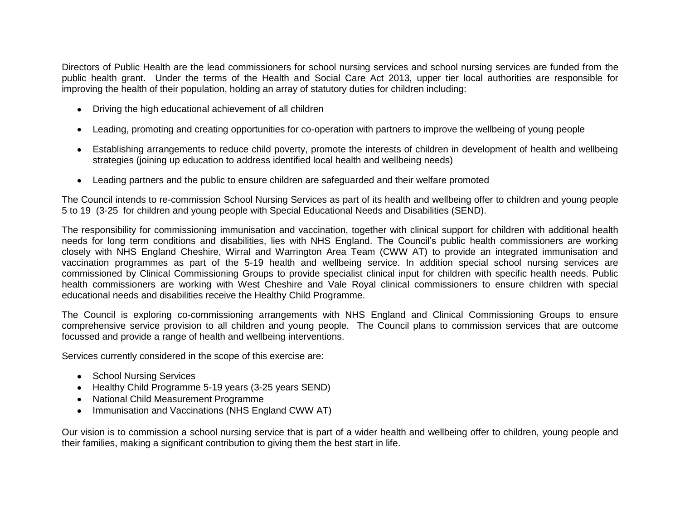Directors of Public Health are the lead commissioners for school nursing services and school nursing services are funded from the public health grant. Under the terms of the Health and Social Care Act 2013, upper tier local authorities are responsible for improving the health of their population, holding an array of statutory duties for children including:

- Driving the high educational achievement of all children
- Leading, promoting and creating opportunities for co-operation with partners to improve the wellbeing of young people  $\bullet$
- Establishing arrangements to reduce child poverty, promote the interests of children in development of health and wellbeing strategies (joining up education to address identified local health and wellbeing needs)
- Leading partners and the public to ensure children are safeguarded and their welfare promoted  $\bullet$

The Council intends to re-commission School Nursing Services as part of its health and wellbeing offer to children and young people 5 to 19 (3-25 for children and young people with Special Educational Needs and Disabilities (SEND).

The responsibility for commissioning immunisation and vaccination, together with clinical support for children with additional health needs for long term conditions and disabilities, lies with NHS England. The Council's public health commissioners are working closely with NHS England Cheshire, Wirral and Warrington Area Team (CWW AT) to provide an integrated immunisation and vaccination programmes as part of the 5-19 health and wellbeing service. In addition special school nursing services are commissioned by Clinical Commissioning Groups to provide specialist clinical input for children with specific health needs. Public health commissioners are working with West Cheshire and Vale Royal clinical commissioners to ensure children with special educational needs and disabilities receive the Healthy Child Programme.

The Council is exploring co-commissioning arrangements with NHS England and Clinical Commissioning Groups to ensure comprehensive service provision to all children and young people. The Council plans to commission services that are outcome focussed and provide a range of health and wellbeing interventions.

Services currently considered in the scope of this exercise are:

- School Nursing Services
- Healthy Child Programme 5-19 years (3-25 years SEND)
- National Child Measurement Programme
- Immunisation and Vaccinations (NHS England CWW AT)

Our vision is to commission a school nursing service that is part of a wider health and wellbeing offer to children, young people and their families, making a significant contribution to giving them the best start in life.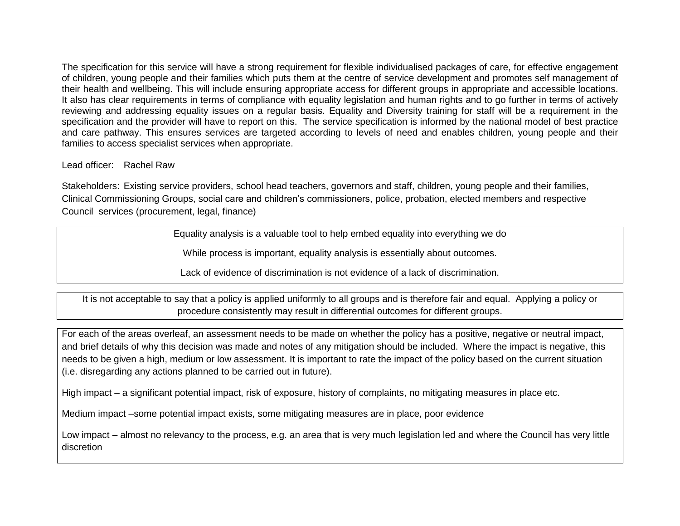The specification for this service will have a strong requirement for flexible individualised packages of care, for effective engagement of children, young people and their families which puts them at the centre of service development and promotes self management of their health and wellbeing. This will include ensuring appropriate access for different groups in appropriate and accessible locations. It also has clear requirements in terms of compliance with equality legislation and human rights and to go further in terms of actively reviewing and addressing equality issues on a regular basis. Equality and Diversity training for staff will be a requirement in the specification and the provider will have to report on this. The service specification is informed by the national model of best practice and care pathway. This ensures services are targeted according to levels of need and enables children, young people and their families to access specialist services when appropriate.

### Lead officer: Rachel Raw

Stakeholders: Existing service providers, school head teachers, governors and staff, children, young people and their families, Clinical Commissioning Groups, social care and children's commissioners, police, probation, elected members and respective Council services (procurement, legal, finance)

Equality analysis is a valuable tool to help embed equality into everything we do

While process is important, equality analysis is essentially about outcomes.

Lack of evidence of discrimination is not evidence of a lack of discrimination.

It is not acceptable to say that a policy is applied uniformly to all groups and is therefore fair and equal. Applying a policy or procedure consistently may result in differential outcomes for different groups.

For each of the areas overleaf, an assessment needs to be made on whether the policy has a positive, negative or neutral impact, and brief details of why this decision was made and notes of any mitigation should be included. Where the impact is negative, this needs to be given a high, medium or low assessment. It is important to rate the impact of the policy based on the current situation (i.e. disregarding any actions planned to be carried out in future).

High impact – a significant potential impact, risk of exposure, history of complaints, no mitigating measures in place etc.

Medium impact –some potential impact exists, some mitigating measures are in place, poor evidence

Low impact – almost no relevancy to the process, e.g. an area that is very much legislation led and where the Council has very little discretion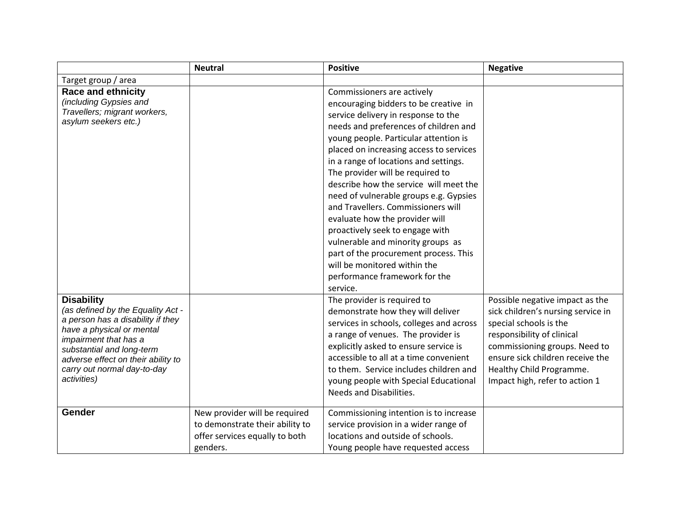|                                                    | <b>Neutral</b>                  | <b>Positive</b>                          | <b>Negative</b>                    |
|----------------------------------------------------|---------------------------------|------------------------------------------|------------------------------------|
| Target group / area                                |                                 |                                          |                                    |
| <b>Race and ethnicity</b>                          |                                 | Commissioners are actively               |                                    |
| (including Gypsies and                             |                                 | encouraging bidders to be creative in    |                                    |
| Travellers; migrant workers,                       |                                 | service delivery in response to the      |                                    |
| asylum seekers etc.)                               |                                 | needs and preferences of children and    |                                    |
|                                                    |                                 | young people. Particular attention is    |                                    |
|                                                    |                                 | placed on increasing access to services  |                                    |
|                                                    |                                 | in a range of locations and settings.    |                                    |
|                                                    |                                 | The provider will be required to         |                                    |
|                                                    |                                 | describe how the service will meet the   |                                    |
|                                                    |                                 | need of vulnerable groups e.g. Gypsies   |                                    |
|                                                    |                                 | and Travellers. Commissioners will       |                                    |
|                                                    |                                 | evaluate how the provider will           |                                    |
|                                                    |                                 | proactively seek to engage with          |                                    |
|                                                    |                                 | vulnerable and minority groups as        |                                    |
|                                                    |                                 | part of the procurement process. This    |                                    |
|                                                    |                                 | will be monitored within the             |                                    |
|                                                    |                                 | performance framework for the            |                                    |
|                                                    |                                 | service.                                 |                                    |
| <b>Disability</b>                                  |                                 | The provider is required to              | Possible negative impact as the    |
| (as defined by the Equality Act -                  |                                 | demonstrate how they will deliver        | sick children's nursing service in |
| a person has a disability if they                  |                                 | services in schools, colleges and across | special schools is the             |
| have a physical or mental                          |                                 | a range of venues. The provider is       | responsibility of clinical         |
| impairment that has a<br>substantial and long-term |                                 | explicitly asked to ensure service is    | commissioning groups. Need to      |
| adverse effect on their ability to                 |                                 | accessible to all at a time convenient   | ensure sick children receive the   |
| carry out normal day-to-day                        |                                 | to them. Service includes children and   | Healthy Child Programme.           |
| activities)                                        |                                 | young people with Special Educational    | Impact high, refer to action 1     |
|                                                    |                                 | Needs and Disabilities.                  |                                    |
|                                                    |                                 |                                          |                                    |
| Gender                                             | New provider will be required   | Commissioning intention is to increase   |                                    |
|                                                    | to demonstrate their ability to | service provision in a wider range of    |                                    |
|                                                    | offer services equally to both  | locations and outside of schools.        |                                    |
|                                                    | genders.                        | Young people have requested access       |                                    |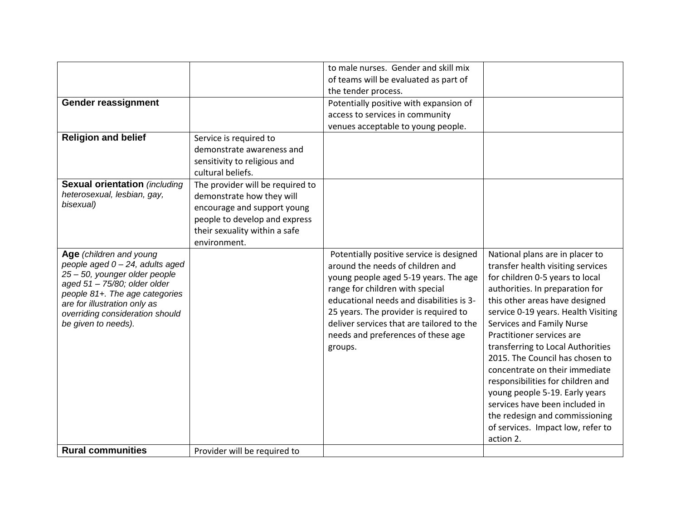|                                                        |                                  | to male nurses. Gender and skill mix      |                                                                  |
|--------------------------------------------------------|----------------------------------|-------------------------------------------|------------------------------------------------------------------|
|                                                        |                                  | of teams will be evaluated as part of     |                                                                  |
|                                                        |                                  | the tender process.                       |                                                                  |
| Gender reassignment                                    |                                  | Potentially positive with expansion of    |                                                                  |
|                                                        |                                  | access to services in community           |                                                                  |
|                                                        |                                  | venues acceptable to young people.        |                                                                  |
| <b>Religion and belief</b>                             | Service is required to           |                                           |                                                                  |
|                                                        | demonstrate awareness and        |                                           |                                                                  |
|                                                        | sensitivity to religious and     |                                           |                                                                  |
|                                                        | cultural beliefs.                |                                           |                                                                  |
| <b>Sexual orientation (including</b>                   | The provider will be required to |                                           |                                                                  |
| heterosexual, lesbian, gay,                            | demonstrate how they will        |                                           |                                                                  |
| bisexual)                                              | encourage and support young      |                                           |                                                                  |
|                                                        | people to develop and express    |                                           |                                                                  |
|                                                        | their sexuality within a safe    |                                           |                                                                  |
|                                                        | environment.                     |                                           |                                                                  |
| Age (children and young                                |                                  | Potentially positive service is designed  | National plans are in placer to                                  |
| people aged $0 - 24$ , adults aged                     |                                  | around the needs of children and          | transfer health visiting services                                |
| 25 - 50, younger older people                          |                                  | young people aged 5-19 years. The age     | for children 0-5 years to local                                  |
| aged 51 - 75/80; older older                           |                                  | range for children with special           | authorities. In preparation for                                  |
| people 81+. The age categories                         |                                  | educational needs and disabilities is 3-  | this other areas have designed                                   |
| are for illustration only as                           |                                  | 25 years. The provider is required to     | service 0-19 years. Health Visiting                              |
| overriding consideration should<br>be given to needs). |                                  | deliver services that are tailored to the | Services and Family Nurse                                        |
|                                                        |                                  | needs and preferences of these age        | Practitioner services are                                        |
|                                                        |                                  |                                           | transferring to Local Authorities                                |
|                                                        |                                  | groups.                                   | 2015. The Council has chosen to                                  |
|                                                        |                                  |                                           | concentrate on their immediate                                   |
|                                                        |                                  |                                           |                                                                  |
|                                                        |                                  |                                           | responsibilities for children and                                |
|                                                        |                                  |                                           | young people 5-19. Early years<br>services have been included in |
|                                                        |                                  |                                           |                                                                  |
|                                                        |                                  |                                           | the redesign and commissioning                                   |
|                                                        |                                  |                                           | of services. Impact low, refer to                                |
|                                                        |                                  |                                           | action 2.                                                        |
| <b>Rural communities</b>                               | Provider will be required to     |                                           |                                                                  |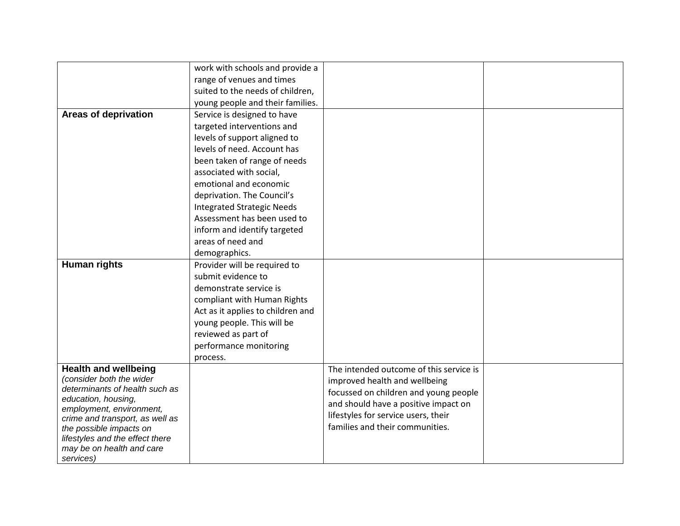|                                                            | work with schools and provide a   |                                         |  |
|------------------------------------------------------------|-----------------------------------|-----------------------------------------|--|
|                                                            | range of venues and times         |                                         |  |
|                                                            | suited to the needs of children,  |                                         |  |
|                                                            | young people and their families.  |                                         |  |
| <b>Areas of deprivation</b>                                | Service is designed to have       |                                         |  |
|                                                            | targeted interventions and        |                                         |  |
|                                                            | levels of support aligned to      |                                         |  |
|                                                            | levels of need. Account has       |                                         |  |
|                                                            | been taken of range of needs      |                                         |  |
|                                                            | associated with social,           |                                         |  |
|                                                            | emotional and economic            |                                         |  |
|                                                            | deprivation. The Council's        |                                         |  |
|                                                            | <b>Integrated Strategic Needs</b> |                                         |  |
|                                                            | Assessment has been used to       |                                         |  |
|                                                            | inform and identify targeted      |                                         |  |
|                                                            | areas of need and                 |                                         |  |
|                                                            | demographics.                     |                                         |  |
| <b>Human rights</b>                                        | Provider will be required to      |                                         |  |
|                                                            | submit evidence to                |                                         |  |
|                                                            | demonstrate service is            |                                         |  |
|                                                            | compliant with Human Rights       |                                         |  |
|                                                            | Act as it applies to children and |                                         |  |
|                                                            | young people. This will be        |                                         |  |
|                                                            | reviewed as part of               |                                         |  |
|                                                            | performance monitoring            |                                         |  |
|                                                            | process.                          |                                         |  |
| <b>Health and wellbeing</b>                                |                                   | The intended outcome of this service is |  |
| (consider both the wider                                   |                                   | improved health and wellbeing           |  |
| determinants of health such as                             |                                   | focussed on children and young people   |  |
| education, housing,                                        |                                   | and should have a positive impact on    |  |
| employment, environment,                                   |                                   | lifestyles for service users, their     |  |
| crime and transport, as well as<br>the possible impacts on |                                   | families and their communities.         |  |
| lifestyles and the effect there                            |                                   |                                         |  |
| may be on health and care                                  |                                   |                                         |  |
| services)                                                  |                                   |                                         |  |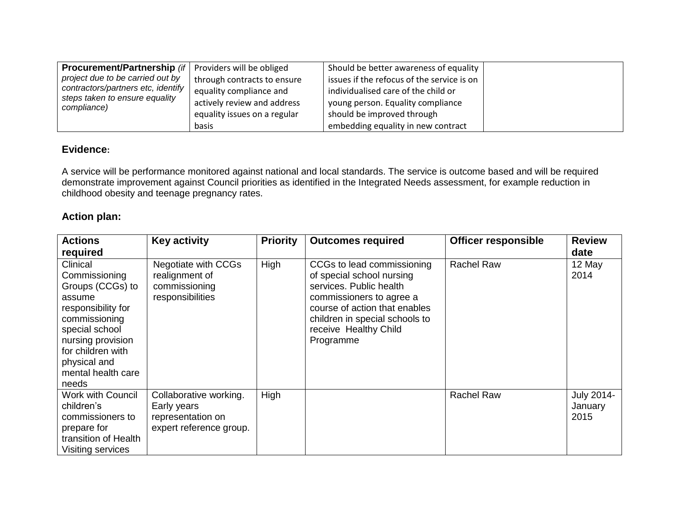| <b>Procurement/Partnership</b> (if   Providers will be obliged |                              | Should be better awareness of equality     |  |
|----------------------------------------------------------------|------------------------------|--------------------------------------------|--|
| project due to be carried out by                               | through contracts to ensure  | issues if the refocus of the service is on |  |
| contractors/partners etc, identify                             | equality compliance and      | individualised care of the child or        |  |
| steps taken to ensure equality<br>compliance)                  | actively review and address  | young person. Equality compliance          |  |
|                                                                | equality issues on a regular | should be improved through                 |  |
|                                                                | <b>basis</b>                 | embedding equality in new contract         |  |

# **Evidence:**

A service will be performance monitored against national and local standards. The service is outcome based and will be required demonstrate improvement against Council priorities as identified in the Integrated Needs assessment, for example reduction in childhood obesity and teenage pregnancy rates.

## **Action plan:**

| <b>Actions</b><br>required                                                                                                                                                                                | <b>Key activity</b>                                                                   | <b>Priority</b> | <b>Outcomes required</b>                                                                                                                                                                                                | <b>Officer responsible</b> | <b>Review</b><br>date         |
|-----------------------------------------------------------------------------------------------------------------------------------------------------------------------------------------------------------|---------------------------------------------------------------------------------------|-----------------|-------------------------------------------------------------------------------------------------------------------------------------------------------------------------------------------------------------------------|----------------------------|-------------------------------|
| Clinical<br>Commissioning<br>Groups (CCGs) to<br>assume<br>responsibility for<br>commissioning<br>special school<br>nursing provision<br>for children with<br>physical and<br>mental health care<br>needs | Negotiate with CCGs<br>realignment of<br>commissioning<br>responsibilities            | High            | CCGs to lead commissioning<br>of special school nursing<br>services. Public health<br>commissioners to agree a<br>course of action that enables<br>children in special schools to<br>receive Healthy Child<br>Programme | <b>Rachel Raw</b>          | 12 May<br>2014                |
| <b>Work with Council</b><br>children's<br>commissioners to<br>prepare for<br>transition of Health<br>Visiting services                                                                                    | Collaborative working.<br>Early years<br>representation on<br>expert reference group. | High            |                                                                                                                                                                                                                         | <b>Rachel Raw</b>          | July 2014-<br>January<br>2015 |